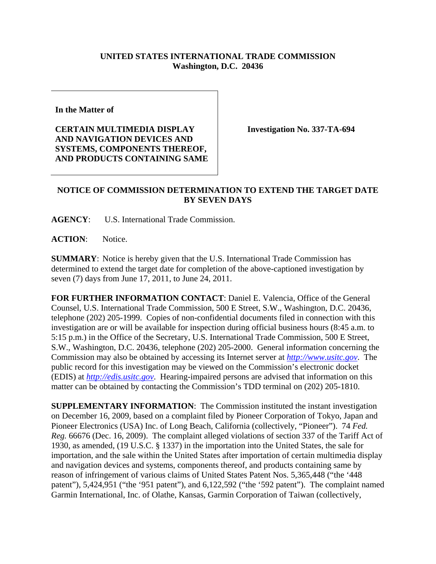## **UNITED STATES INTERNATIONAL TRADE COMMISSION Washington, D.C. 20436**

**In the Matter of** 

**CERTAIN MULTIMEDIA DISPLAY AND NAVIGATION DEVICES AND SYSTEMS, COMPONENTS THEREOF, AND PRODUCTS CONTAINING SAME**  **Investigation No. 337-TA-694** 

## **NOTICE OF COMMISSION DETERMINATION TO EXTEND THE TARGET DATE BY SEVEN DAYS**

**AGENCY**: U.S. International Trade Commission.

**ACTION**: Notice.

**SUMMARY**: Notice is hereby given that the U.S. International Trade Commission has determined to extend the target date for completion of the above-captioned investigation by seven (7) days from June 17, 2011, to June 24, 2011.

**FOR FURTHER INFORMATION CONTACT**: Daniel E. Valencia, Office of the General Counsel, U.S. International Trade Commission, 500 E Street, S.W., Washington, D.C. 20436, telephone (202) 205-1999. Copies of non-confidential documents filed in connection with this investigation are or will be available for inspection during official business hours (8:45 a.m. to 5:15 p.m.) in the Office of the Secretary, U.S. International Trade Commission, 500 E Street, S.W., Washington, D.C. 20436, telephone (202) 205-2000. General information concerning the Commission may also be obtained by accessing its Internet server at *http://www.usitc.gov*. The public record for this investigation may be viewed on the Commission's electronic docket (EDIS) at *http://edis.usitc.gov*. Hearing-impaired persons are advised that information on this matter can be obtained by contacting the Commission's TDD terminal on (202) 205-1810.

**SUPPLEMENTARY INFORMATION**: The Commission instituted the instant investigation on December 16, 2009, based on a complaint filed by Pioneer Corporation of Tokyo, Japan and Pioneer Electronics (USA) Inc. of Long Beach, California (collectively, "Pioneer"). 74 *Fed. Reg.* 66676 (Dec. 16, 2009). The complaint alleged violations of section 337 of the Tariff Act of 1930, as amended, (19 U.S.C. § 1337) in the importation into the United States, the sale for importation, and the sale within the United States after importation of certain multimedia display and navigation devices and systems, components thereof, and products containing same by reason of infringement of various claims of United States Patent Nos. 5,365,448 ("the '448 patent"), 5,424,951 ("the '951 patent"), and 6,122,592 ("the '592 patent"). The complaint named Garmin International, Inc. of Olathe, Kansas, Garmin Corporation of Taiwan (collectively,